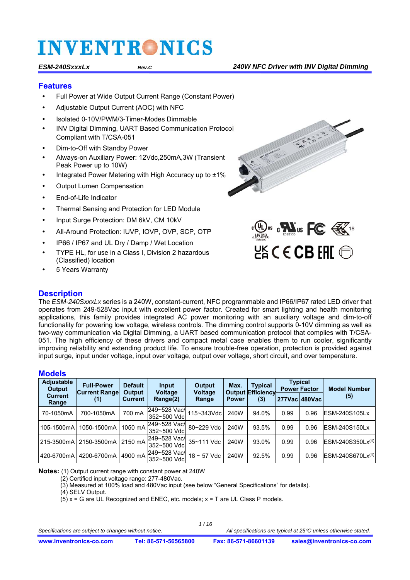#### **Features**

- Full Power at Wide Output Current Range (Constant Power)
- Adjustable Output Current (AOC) with NFC
- Isolated 0-10V/PWM/3-Timer-Modes Dimmable
- INV Digital Dimming, UART Based Communication Protocol Compliant with T/CSA-051
- Dim-to-Off with Standby Power
- Always-on Auxiliary Power: 12Vdc,250mA,3W (Transient Peak Power up to 10W)
- Integrated Power Metering with High Accuracy up to ±1%
- Output Lumen Compensation
- End-of-Life Indicator
- Thermal Sensing and Protection for LED Module
- Input Surge Protection: DM 6kV, CM 10kV
- All-Around Protection: IUVP, IOVP, OVP, SCP, OTP
- IP66 / IP67 and UL Dry / Damp / Wet Location
- TYPE HL, for use in a Class I, Division 2 hazardous (Classified) location
- 5 Years Warranty



 $\mathbf{W}_{\text{us}}$  or  $\mathbf{W}_{\text{us}}$  FC  $\mathbf{\mathbb{R}}^n$  is  $HS$  C E CB FHI  $@$ 

### **Description**

The *ESM-240SxxxLx* series is a 240W, constant-current, NFC programmable and IP66/IP67 rated LED driver that operates from 249-528Vac input with excellent power factor. Created for smart lighting and health monitoring applications, this family provides integrated AC power monitoring with an auxiliary voltage and dim-to-off functionality for powering low voltage, wireless controls. The dimming control supports 0-10V dimming as well as two-way communication via Digital Dimming, a UART based communication protocol that complies with T/CSA-051. The high efficiency of these drivers and compact metal case enables them to run cooler, significantly improving reliability and extending product life. To ensure trouble-free operation, protection is provided against input surge, input under voltage, input over voltage, output over voltage, short circuit, and over temperature.

### **Models**

| <b>Adjustable</b><br>Output | <b>Full-Power</b><br><b>Current Range</b> | <b>Default</b><br>Output | Input<br><b>Voltage</b>      | Output           | <b>Typical</b><br>Max.<br><b>Output Efficiency</b><br><b>Voltage</b> |       | <b>Typical</b><br><b>Power Factor</b> |                 | <b>Model Number</b>   |
|-----------------------------|-------------------------------------------|--------------------------|------------------------------|------------------|----------------------------------------------------------------------|-------|---------------------------------------|-----------------|-----------------------|
| <b>Current</b><br>Range     | (1)                                       | <b>Current</b>           | Range(2)                     | Range            | <b>Power</b>                                                         | (3)   |                                       | 277Vac   480Vac | (5)                   |
| 70-1050mA                   | 700-1050mA                                | 700 mA                   | 249~528 Vac/<br>352~500 Vdcl | 115~343Vdc       | 240W                                                                 | 94.0% | 0.99                                  | 0.96            | <b>IESM-240S105Lx</b> |
| 105-1500mA                  | 1050-1500mA                               | 1050 mA                  | 249~528 Vac/<br>352~500 Vdc  | 80~229 Vdc       | 240W                                                                 | 93.5% | 0.99                                  | 0.96            | <b>IESM-240S150Lx</b> |
| 215-3500mA                  | 2150-3500mA                               | 2150 mA                  | 249~528 Vac/<br>352~500 Vdc  | 35~111 Vdc       | 240W                                                                 | 93.0% | 0.99                                  | 0.96            | $ESM-240S350Lx^{(4)}$ |
| 420-6700mA                  | 4200-6700mA                               | 4900 mA                  | 249~528 Vac/<br>352~500 Vdc  | $18 \sim 57$ Vdc | 240W                                                                 | 92.5% | 0.99                                  | 0.96            | $ESM-240S670Lx^{(4)}$ |

**Notes:** (1) Output current range with constant power at 240W

(2) Certified input voltage range: 277-480Vac.

(3) Measured at 100% load and 480Vac input (see below "General Specifications" for details).

(4) SELV Output.

 $(5)$  x = G are UL Recognized and ENEC, etc. models; x = T are UL Class P models.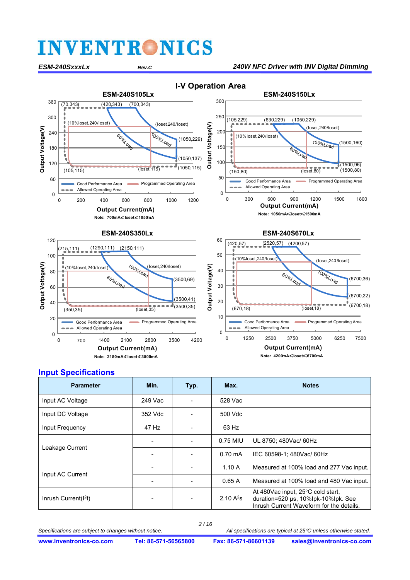*ESM-240SxxxLx Rev.C 240W NFC Driver with INV Digital Dimming* 



 **I-V Operation Area** 



### **Input Specifications**

| <b>Parameter</b>        | Min.               | Typ.                     | Max.              | <b>Notes</b>                                                                                                         |
|-------------------------|--------------------|--------------------------|-------------------|----------------------------------------------------------------------------------------------------------------------|
| Input AC Voltage        | 249 Vac            | $\blacksquare$           | 528 Vac           |                                                                                                                      |
| Input DC Voltage        | 352 Vdc<br>500 Vdc |                          |                   |                                                                                                                      |
| Input Frequency         | 47 Hz              |                          | 63 Hz             |                                                                                                                      |
|                         |                    |                          | 0.75 MIU          | UL 8750; 480Vac/ 60Hz                                                                                                |
| Leakage Current         |                    | $\blacksquare$           | $0.70 \text{ mA}$ | IEC 60598-1; 480Vac/ 60Hz                                                                                            |
|                         |                    | $\overline{\phantom{0}}$ | 1.10A             | Measured at 100% load and 277 Vac input.                                                                             |
| Input AC Current        |                    |                          | 0.65A             | Measured at 100% load and 480 Vac input.                                                                             |
| Inrush Current( $12$ t) |                    | ٠                        | 2.10 $A^2$ s      | At 480Vac input, 25°C cold start,<br>duration=520 µs, 10%lpk-10%lpk. See<br>Inrush Current Waveform for the details. |

*2 / 16*

*Specifications are subject to changes without notice. All specifications are typical at 25C unless otherwise stated.*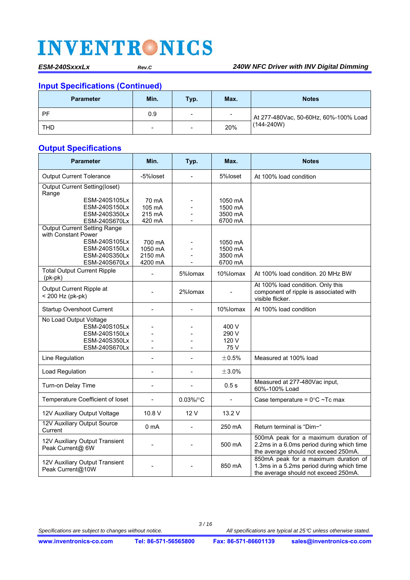## **Input Specifications (Continued)**

| <b>Parameter</b> | Min. | Typ.                         | Max.           | <b>Notes</b>                                            |  |
|------------------|------|------------------------------|----------------|---------------------------------------------------------|--|
| PF               | 0.9  | $\qquad \qquad \blacksquare$ | $\blacksquare$ | At 277-480Vac, 50-60Hz, 60%-100% Load<br>$(144 - 240W)$ |  |
| <b>THD</b>       | -    | $\qquad \qquad \blacksquare$ | 20%            |                                                         |  |

## **Output Specifications**

| <b>Parameter</b>                                                                           | Min.                                | Typ.           | Max.                                     | <b>Notes</b>                                                                                                              |
|--------------------------------------------------------------------------------------------|-------------------------------------|----------------|------------------------------------------|---------------------------------------------------------------------------------------------------------------------------|
| <b>Output Current Tolerance</b>                                                            | -5%loset                            | $\overline{a}$ | 5%loset                                  | At 100% load condition                                                                                                    |
| <b>Output Current Setting(loset)</b><br>Range                                              |                                     |                |                                          |                                                                                                                           |
| ESM-240S105Lx<br>ESM-240S150Lx<br>ESM-240S350Lx<br>ESM-240S670Lx                           | 70 mA<br>105 mA<br>215 mA<br>420 mA |                | 1050 mA<br>1500 mA<br>3500 mA<br>6700 mA |                                                                                                                           |
| <b>Output Current Setting Range</b><br>with Constant Power<br>ESM-240S105Lx                | 700 mA                              |                | 1050 mA                                  |                                                                                                                           |
| ESM-240S150Lx<br>ESM-240S350Lx<br>ESM-240S670Lx                                            | 1050 mA<br>2150 mA<br>4200 mA       |                | 1500 mA<br>3500 mA<br>6700 mA            |                                                                                                                           |
| <b>Total Output Current Ripple</b><br>$(pk-pk)$                                            |                                     | 5%lomax        | 10%lomax                                 | At 100% load condition, 20 MHz BW                                                                                         |
| Output Current Ripple at<br>< 200 Hz (pk-pk)                                               |                                     | 2%lomax        |                                          | At 100% load condition. Only this<br>component of ripple is associated with<br>visible flicker.                           |
| <b>Startup Overshoot Current</b>                                                           |                                     |                | 10%lomax                                 | At 100% load condition                                                                                                    |
| No Load Output Voltage<br>ESM-240S105Lx<br>ESM-240S150Lx<br>ESM-240S350Lx<br>ESM-240S670Lx |                                     |                | 400 V<br>290 V<br>120 V<br>75 V          |                                                                                                                           |
| Line Regulation                                                                            |                                     | L.             | $\pm 0.5\%$                              | Measured at 100% load                                                                                                     |
| Load Regulation                                                                            |                                     | $\blacksquare$ | $\pm 3.0\%$                              |                                                                                                                           |
| Turn-on Delay Time                                                                         | $\blacksquare$                      | $\blacksquare$ | 0.5s                                     | Measured at 277-480Vac input,<br>60%-100% Load                                                                            |
| Temperature Coefficient of loset                                                           | $\blacksquare$                      | $0.03\%$ /°C   | L.                                       | Case temperature = $0^{\circ}$ C ~Tc max                                                                                  |
| 12V Auxiliary Output Voltage                                                               | 10.8 V                              | 12 V           | 13.2 V                                   |                                                                                                                           |
| 12V Auxiliary Output Source<br>Current                                                     | 0 <sub>m</sub> A                    | L,             | 250 mA                                   | Return terminal is "Dim-"                                                                                                 |
| 12V Auxiliary Output Transient<br>Peak Current@ 6W                                         |                                     |                | 500 mA                                   | 500mA peak for a maximum duration of<br>2.2ms in a 6.0ms period during which time<br>the average should not exceed 250mA. |
| 12V Auxiliary Output Transient<br>Peak Current@10W                                         |                                     |                | 850 mA                                   | 850mA peak for a maximum duration of<br>1.3ms in a 5.2ms period during which time<br>the average should not exceed 250mA. |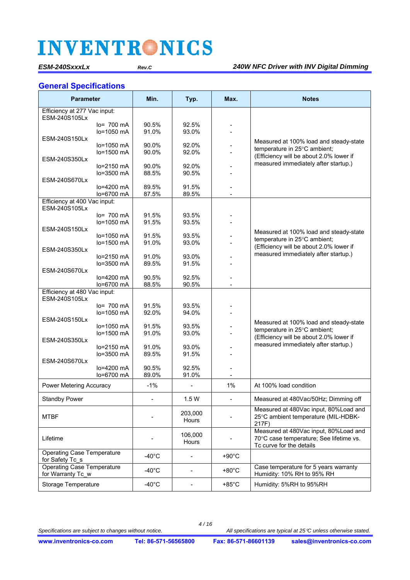### **General Specifications**

| <b>Parameter</b>                                     |                       | Min.            | Typ.                         | Max.            | <b>Notes</b>                                                                                                 |
|------------------------------------------------------|-----------------------|-----------------|------------------------------|-----------------|--------------------------------------------------------------------------------------------------------------|
| Efficiency at 277 Vac input:<br>ESM-240S105Lx        |                       |                 |                              |                 |                                                                                                              |
|                                                      | $lo = 700 \text{ mA}$ | 90.5%           | 92.5%                        |                 |                                                                                                              |
|                                                      | $lo = 1050$ mA        | 91.0%           | 93.0%                        |                 |                                                                                                              |
| ESM-240S150Lx                                        |                       |                 |                              |                 |                                                                                                              |
|                                                      | lo=1050 mA            | 90.0%           | 92.0%                        |                 | Measured at 100% load and steady-state                                                                       |
|                                                      | lo=1500 mA            | 90.0%           | 92.0%                        |                 | temperature in 25°C ambient;                                                                                 |
| ESM-240S350Lx                                        |                       |                 |                              |                 | (Efficiency will be about 2.0% lower if                                                                      |
|                                                      | $lo=2150$ mA          | 90.0%           | 92.0%                        |                 | measured immediately after startup.)                                                                         |
|                                                      | lo=3500 mA            | 88.5%           | 90.5%                        |                 |                                                                                                              |
| ESM-240S670Lx                                        |                       |                 |                              |                 |                                                                                                              |
|                                                      | $lo=4200$ mA          | 89.5%           | 91.5%                        |                 |                                                                                                              |
|                                                      | lo=6700 mA            | 87.5%           | 89.5%                        |                 |                                                                                                              |
| Efficiency at 400 Vac input:                         |                       |                 |                              |                 |                                                                                                              |
| ESM-240S105Lx                                        |                       |                 |                              |                 |                                                                                                              |
|                                                      | $lo = 700$ mA         | 91.5%           | 93.5%                        |                 |                                                                                                              |
|                                                      | lo=1050 mA            | 91.5%           | 93.5%                        |                 |                                                                                                              |
| ESM-240S150Lx                                        |                       |                 |                              |                 | Measured at 100% load and steady-state                                                                       |
|                                                      | lo=1050 mA            | 91.5%           | 93.5%                        |                 | temperature in 25°C ambient;                                                                                 |
|                                                      | $lo = 1500$ mA        | 91.0%           | 93.0%                        |                 | (Efficiency will be about 2.0% lower if                                                                      |
| ESM-240S350Lx                                        |                       |                 |                              |                 | measured immediately after startup.)                                                                         |
|                                                      | lo=2150 mA            | 91.0%           | 93.0%                        |                 |                                                                                                              |
|                                                      | lo=3500 mA            | 89.5%           | 91.5%                        |                 |                                                                                                              |
| ESM-240S670Lx                                        |                       |                 |                              |                 |                                                                                                              |
|                                                      | lo=4200 mA            | 90.5%           | 92.5%                        |                 |                                                                                                              |
|                                                      | lo=6700 mA            | 88.5%           | 90.5%                        |                 |                                                                                                              |
| Efficiency at 480 Vac input:<br>ESM-240S105Lx        |                       |                 |                              |                 |                                                                                                              |
|                                                      | $lo = 700$ mA         | 91.5%           | 93.5%                        |                 |                                                                                                              |
|                                                      | lo=1050 mA            | 92.0%           | 94.0%                        |                 |                                                                                                              |
| ESM-240S150Lx                                        |                       |                 |                              |                 |                                                                                                              |
|                                                      | $lo=1050$ mA          | 91.5%           | 93.5%                        |                 | Measured at 100% load and steady-state                                                                       |
|                                                      | lo=1500 mA            | 91.0%           | 93.0%                        |                 | temperature in 25°C ambient;                                                                                 |
| ESM-240S350Lx                                        |                       |                 |                              |                 | (Efficiency will be about 2.0% lower if                                                                      |
|                                                      | $lo=2150$ mA          | 91.0%           | 93.0%                        |                 | measured immediately after startup.)                                                                         |
|                                                      | lo=3500 mA            | 89.5%           | 91.5%                        |                 |                                                                                                              |
| ESM-240S670Lx                                        |                       |                 |                              |                 |                                                                                                              |
|                                                      | lo=4200 mA            | 90.5%           | 92.5%                        |                 |                                                                                                              |
|                                                      | lo=6700 mA            | 89.0%           | 91.0%                        |                 |                                                                                                              |
| Power Metering Accuracy                              |                       | $-1%$           |                              | 1%              | At 100% load condition                                                                                       |
| <b>Standby Power</b>                                 |                       |                 | 1.5W                         |                 | Measured at 480Vac/50Hz; Dimming off                                                                         |
| <b>MTBF</b>                                          |                       |                 | 203,000<br>Hours             |                 | Measured at 480Vac input, 80%Load and<br>25°C ambient temperature (MIL-HDBK-<br>217F)                        |
| Lifetime                                             |                       |                 | 106,000<br>Hours             |                 | Measured at 480Vac input, 80%Load and<br>70°C case temperature; See lifetime vs.<br>To curve for the details |
| <b>Operating Case Temperature</b><br>for Safety Tc_s |                       | $-40^{\circ}$ C | -                            | $+90^{\circ}$ C |                                                                                                              |
| Operating Case Temperature<br>for Warranty Tc_w      |                       | $-40^{\circ}$ C | $\qquad \qquad \blacksquare$ | $+80^{\circ}$ C | Case temperature for 5 years warranty<br>Humidity: 10% RH to 95% RH                                          |
| <b>Storage Temperature</b>                           |                       | $-40^{\circ}$ C | -                            | $+85^{\circ}$ C | Humidity: 5%RH to 95%RH                                                                                      |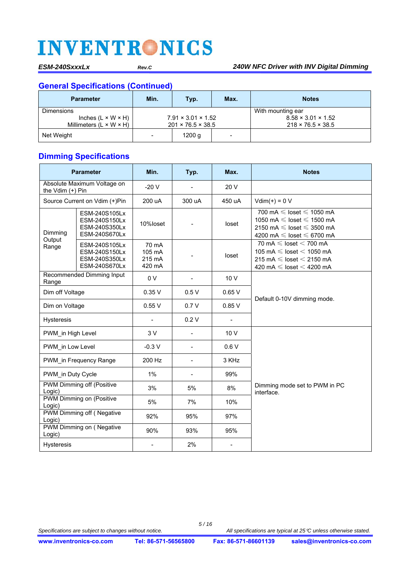## **General Specifications (Continued)**

| <b>Parameter</b>                    | Min.                           | Typ.  | Max.                     | <b>Notes</b>                   |
|-------------------------------------|--------------------------------|-------|--------------------------|--------------------------------|
| Dimensions                          |                                |       |                          | With mounting ear              |
| Inches $(L \times W \times H)$      | $7.91 \times 3.01 \times 1.52$ |       |                          | $8.58 \times 3.01 \times 1.52$ |
| Millimeters $(L \times W \times H)$ | $201 \times 76.5 \times 38.5$  |       |                          | $218 \times 76.5 \times 38.5$  |
| Net Weight                          | -                              | 1200q | $\overline{\phantom{0}}$ |                                |

## **Dimming Specifications**

|                                                                             | <b>Parameter</b>                                                 | Min.                                | Typ.                         | Max.            | <b>Notes</b>                                                                                                                                            |
|-----------------------------------------------------------------------------|------------------------------------------------------------------|-------------------------------------|------------------------------|-----------------|---------------------------------------------------------------------------------------------------------------------------------------------------------|
| Absolute Maximum Voltage on<br>the Vdim $(+)$ Pin                           |                                                                  | $-20V$                              | $\overline{\phantom{0}}$     | 20 V            |                                                                                                                                                         |
| Source Current on Vdim (+)Pin                                               |                                                                  | 200 uA                              | 300 uA                       | 450 uA          | $Vdim(+) = 0 V$                                                                                                                                         |
| ESM-240S105Lx<br>ESM-240S150Lx<br>ESM-240S350Lx<br>Dimming<br>ESM-240S670Lx |                                                                  | 10%loset                            |                              | loset           | 700 mA $\leq$ loset $\leq$ 1050 mA<br>1050 mA $\leq$ loset $\leq$ 1500 mA<br>2150 mA $\leq$ loset $\leq$ 3500 mA<br>4200 mA $\leq$ loset $\leq$ 6700 mA |
| Output<br>Range                                                             | ESM-240S105Lx<br>ESM-240S150Lx<br>ESM-240S350Lx<br>ESM-240S670Lx | 70 mA<br>105 mA<br>215 mA<br>420 mA |                              | loset           | 70 mA $\leq$ loset $<$ 700 mA<br>105 mA $\leq$ loset $<$ 1050 mA<br>215 mA $\leq$ loset $<$ 2150 mA<br>420 mA $\leq$ loset $<$ 4200 mA                  |
| Range                                                                       | Recommended Dimming Input                                        | 0 <sub>V</sub>                      | $\blacksquare$               | 10 V            |                                                                                                                                                         |
|                                                                             | Dim off Voltage                                                  |                                     | 0.5V                         | 0.65V           |                                                                                                                                                         |
|                                                                             | Dim on Voltage                                                   |                                     | 0.7V                         | 0.85V           | Default 0-10V dimming mode.                                                                                                                             |
| <b>Hysteresis</b>                                                           |                                                                  |                                     | 0.2V                         | $\blacksquare$  |                                                                                                                                                         |
| PWM in High Level                                                           |                                                                  | 3V                                  | $\overline{\phantom{0}}$     | 10 <sub>V</sub> |                                                                                                                                                         |
| PWM in Low Level                                                            |                                                                  | $-0.3V$                             | $\blacksquare$               | 0.6V            |                                                                                                                                                         |
|                                                                             | PWM in Frequency Range                                           | 200 Hz                              | $\qquad \qquad \blacksquare$ | 3 KHz           |                                                                                                                                                         |
| PWM in Duty Cycle                                                           |                                                                  | $1\%$                               |                              | 99%             |                                                                                                                                                         |
| Logic)                                                                      | PWM Dimming off (Positive                                        | 3%                                  | 5%                           | 8%              | Dimming mode set to PWM in PC<br>interface.                                                                                                             |
| PWM Dimming on (Positive<br>Logic)                                          |                                                                  | 5%                                  | 7%                           | 10%             |                                                                                                                                                         |
| <b>PWM Dimming off (Negative</b><br>Logic)                                  |                                                                  | 92%                                 | 95%                          | 97%             |                                                                                                                                                         |
| Logic)                                                                      | PWM Dimming on (Negative                                         | 90%                                 | 93%                          | 95%             |                                                                                                                                                         |
| Hysteresis                                                                  |                                                                  |                                     | 2%                           |                 |                                                                                                                                                         |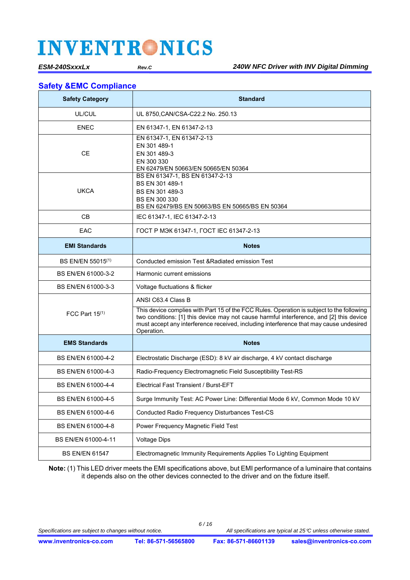### **Safety &EMC Compliance**

| <b>Safety Category</b>        | <b>Standard</b>                                                                                                                                                                                                                                                                              |
|-------------------------------|----------------------------------------------------------------------------------------------------------------------------------------------------------------------------------------------------------------------------------------------------------------------------------------------|
| UL/CUL                        | UL 8750, CAN/CSA-C22.2 No. 250.13                                                                                                                                                                                                                                                            |
| <b>ENEC</b>                   | EN 61347-1, EN 61347-2-13                                                                                                                                                                                                                                                                    |
| <b>CE</b>                     | EN 61347-1, EN 61347-2-13<br>EN 301 489-1<br>EN 301 489-3<br>EN 300 330<br>EN 62479/EN 50663/EN 50665/EN 50364                                                                                                                                                                               |
| <b>UKCA</b>                   | BS EN 61347-1, BS EN 61347-2-13<br>BS EN 301 489-1<br>BS EN 301 489-3<br>BS EN 300 330<br>BS EN 62479/BS EN 50663/BS EN 50665/BS EN 50364                                                                                                                                                    |
| <b>CB</b>                     | IEC 61347-1, IEC 61347-2-13                                                                                                                                                                                                                                                                  |
| EAC                           | ГОСТ Р МЭК 61347-1, ГОСТ IEC 61347-2-13                                                                                                                                                                                                                                                      |
| <b>EMI Standards</b>          | <b>Notes</b>                                                                                                                                                                                                                                                                                 |
| BS EN/EN 55015 <sup>(1)</sup> | Conducted emission Test & Radiated emission Test                                                                                                                                                                                                                                             |
| BS EN/EN 61000-3-2            | Harmonic current emissions                                                                                                                                                                                                                                                                   |
| BS EN/EN 61000-3-3            | Voltage fluctuations & flicker                                                                                                                                                                                                                                                               |
|                               | ANSI C63.4 Class B                                                                                                                                                                                                                                                                           |
| FCC Part $15^{(1)}$           | This device complies with Part 15 of the FCC Rules. Operation is subject to the following<br>two conditions: [1] this device may not cause harmful interference, and [2] this device<br>must accept any interference received, including interference that may cause undesired<br>Operation. |
| <b>EMS Standards</b>          | <b>Notes</b>                                                                                                                                                                                                                                                                                 |
| BS EN/EN 61000-4-2            | Electrostatic Discharge (ESD): 8 kV air discharge, 4 kV contact discharge                                                                                                                                                                                                                    |
| BS EN/EN 61000-4-3            | Radio-Frequency Electromagnetic Field Susceptibility Test-RS                                                                                                                                                                                                                                 |
| BS EN/EN 61000-4-4            | Electrical Fast Transient / Burst-EFT                                                                                                                                                                                                                                                        |
| BS EN/EN 61000-4-5            | Surge Immunity Test: AC Power Line: Differential Mode 6 kV, Common Mode 10 kV                                                                                                                                                                                                                |
| BS EN/EN 61000-4-6            | Conducted Radio Frequency Disturbances Test-CS                                                                                                                                                                                                                                               |
| BS EN/EN 61000-4-8            | Power Frequency Magnetic Field Test                                                                                                                                                                                                                                                          |
| BS EN/EN 61000-4-11           | <b>Voltage Dips</b>                                                                                                                                                                                                                                                                          |
| <b>BS EN/EN 61547</b>         | Electromagnetic Immunity Requirements Applies To Lighting Equipment                                                                                                                                                                                                                          |

**Note:** (1) This LED driver meets the EMI specifications above, but EMI performance of a luminaire that contains it depends also on the other devices connected to the driver and on the fixture itself.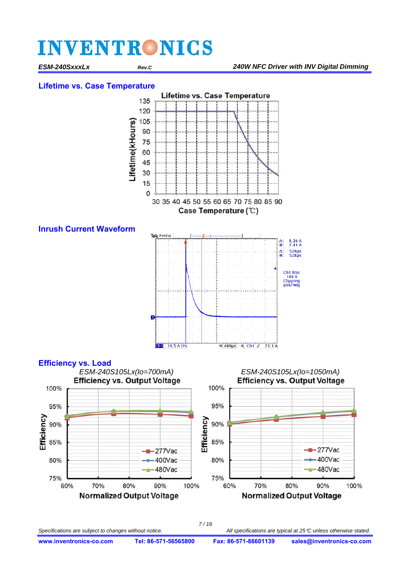#### **Lifetime vs. Case Temperature**





*7 / 16* Specifications are subject to changes without notice. **All specifications are typical at 25**<sup> $c$ </sup> unless otherwise stated.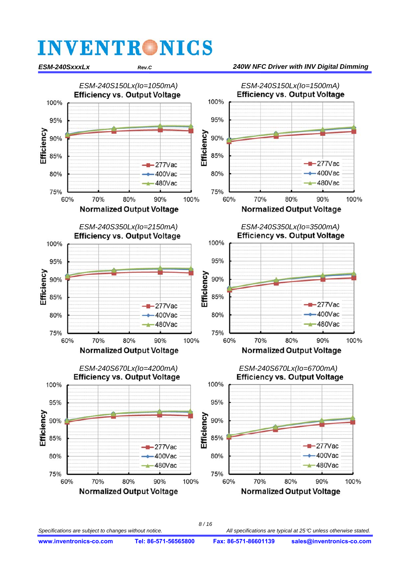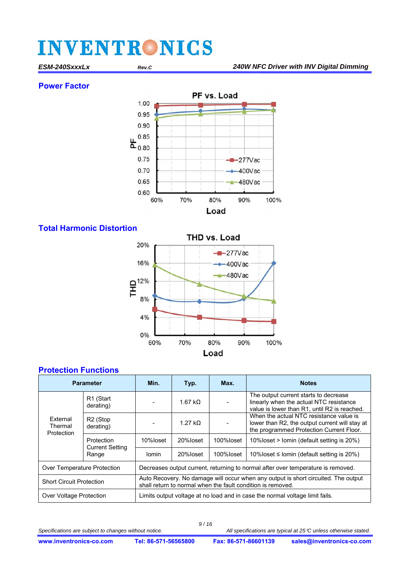### **Power Factor**



### **Total Harmonic Distortion**



### **Protection Functions**

| <b>Parameter</b>                  |                                               | Min.                                                                                                                                              | Typ.            | Max.      | <b>Notes</b>                                                                                                                          |  |  |
|-----------------------------------|-----------------------------------------------|---------------------------------------------------------------------------------------------------------------------------------------------------|-----------------|-----------|---------------------------------------------------------------------------------------------------------------------------------------|--|--|
| External<br>Thermal<br>Protection | R <sub>1</sub> (Start<br>derating)            |                                                                                                                                                   | 1.67 k $\Omega$ |           | The output current starts to decrease<br>linearly when the actual NTC resistance<br>value is lower than R1, until R2 is reached.      |  |  |
|                                   | R <sub>2</sub> (Stop<br>derating)             |                                                                                                                                                   | $1.27 k\Omega$  |           | When the actual NTC resistance value is<br>lower than R2, the output current will stay at<br>the programmed Protection Current Floor. |  |  |
|                                   | Protection<br><b>Current Setting</b><br>Range | 10%loset                                                                                                                                          | 20%loset        | 100%loset | 10% loset > lomin (default setting is 20%)                                                                                            |  |  |
|                                   |                                               | lomin                                                                                                                                             | 20%loset        | 100%loset | 10% loset $\leq$ lomin (default setting is 20%)                                                                                       |  |  |
| Over Temperature Protection       |                                               | Decreases output current, returning to normal after over temperature is removed.                                                                  |                 |           |                                                                                                                                       |  |  |
| <b>Short Circuit Protection</b>   |                                               | Auto Recovery. No damage will occur when any output is short circuited. The output<br>shall return to normal when the fault condition is removed. |                 |           |                                                                                                                                       |  |  |
| <b>Over Voltage Protection</b>    |                                               | Limits output voltage at no load and in case the normal voltage limit fails.                                                                      |                 |           |                                                                                                                                       |  |  |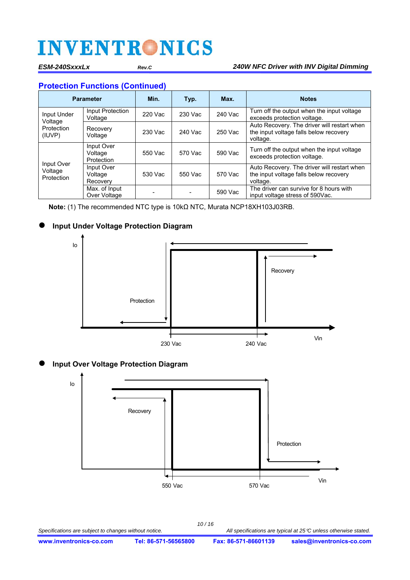### **Protection Functions (Continued)**

| <b>Parameter</b>                    |                                     | Min.    | Typ.    | Max.    | <b>Notes</b>                                                                                      |
|-------------------------------------|-------------------------------------|---------|---------|---------|---------------------------------------------------------------------------------------------------|
| Input Under                         | Input Protection<br>Voltage         | 220 Vac | 230 Vac | 240 Vac | Turn off the output when the input voltage<br>exceeds protection voltage.                         |
| Voltage<br>Protection<br>(IUVP)     | Recovery<br>Voltage                 | 230 Vac | 240 Vac | 250 Vac | Auto Recovery. The driver will restart when<br>the input voltage falls below recovery<br>voltage. |
| Input Over<br>Voltage<br>Protection | Input Over<br>Voltage<br>Protection | 550 Vac | 570 Vac | 590 Vac | Turn off the output when the input voltage<br>exceeds protection voltage.                         |
|                                     | Input Over<br>Voltage<br>Recovery   | 530 Vac | 550 Vac | 570 Vac | Auto Recovery. The driver will restart when<br>the input voltage falls below recovery<br>voltage. |
|                                     | Max. of Input<br>Over Voltage       |         |         | 590 Vac | The driver can survive for 8 hours with<br>input voltage stress of 590Vac.                        |

**Note:** (1) The recommended NTC type is 10kΩ NTC, Murata NCP18XH103J03RB.

### **Input Under Voltage Protection Diagram**



**Input Over Voltage Protection Diagram** 

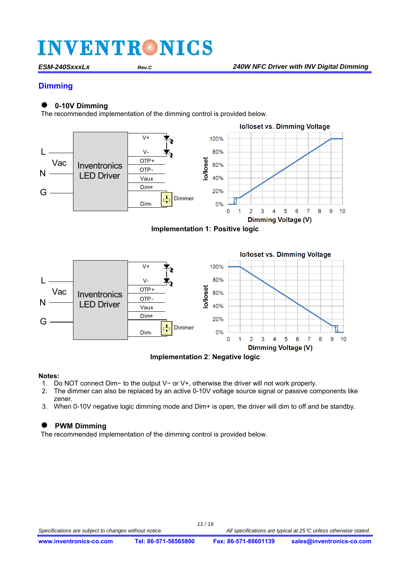### **Dimming**

### **0-10V Dimming**

The recommended implementation of the dimming control is provided below.





**Implementation 2**: **Negative logic** 

#### **Notes:**

- 1. Do NOT connect Dim− to the output V− or V+, otherwise the driver will not work properly.
- 2. The dimmer can also be replaced by an active 0-10V voltage source signal or passive components like zener.
- 3. When 0-10V negative logic dimming mode and Dim+ is open, the driver will dim to off and be standby.

### **PWM Dimming**

The recommended implementation of the dimming control is provided below.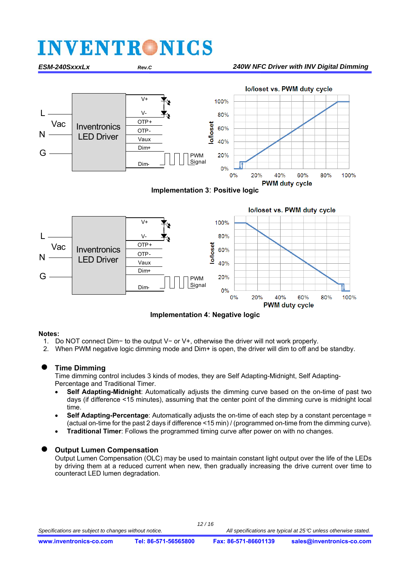

**Implementation 4**: **Negative logic** 

 $0%$ 

 $20%$ 

40%

**PWM** duty cycle

60%

80%

100%

#### **Notes:**

- 1. Do NOT connect Dim− to the output V− or V+, otherwise the driver will not work properly.
- 2. When PWM negative logic dimming mode and Dim+ is open, the driver will dim to off and be standby.

### **Time Dimming**

Time dimming control includes 3 kinds of modes, they are Self Adapting-Midnight, Self Adapting-Percentage and Traditional Timer.

- **Self Adapting-Midnight**: Automatically adjusts the dimming curve based on the on-time of past two days (if difference <15 minutes), assuming that the center point of the dimming curve is midnight local time.
- **Self Adapting-Percentage**: Automatically adjusts the on-time of each step by a constant percentage = (actual on-time for the past 2 days if difference <15 min) / (programmed on-time from the dimming curve).
- **Traditional Timer**: Follows the programmed timing curve after power on with no changes.

#### **Output Lumen Compensation**

Output Lumen Compensation (OLC) may be used to maintain constant light output over the life of the LEDs by driving them at a reduced current when new, then gradually increasing the drive current over time to counteract LED lumen degradation.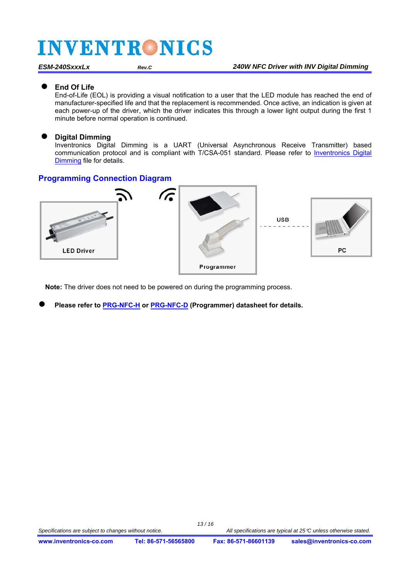#### **End Of Life**

End-of-Life (EOL) is providing a visual notification to a user that the LED module has reached the end of manufacturer-specified life and that the replacement is recommended. Once active, an indication is given at each power-up of the driver, which the driver indicates this through a lower light output during the first 1 minute before normal operation is continued.

### **Digital Dimming**

Inventronics Digital Dimming is a UART (Universal Asynchronous Receive Transmitter) based communication protocol and is compliant with T/CSA-051 standard. Please refer to Inventronics Digital Dimming file for details.

### **Programming Connection Diagram**



**Note:** The driver does not need to be powered on during the programming process.

**Please refer to [PRG-NFC-H](https://www.inventronics-co.com/product/prg-nfc-h/) or [PRG-NFC-D \(](https://www.inventronics-co.com/product/prg-nfc-d/)Programmer) datasheet for details.**

*13 / 16*

Specifications are subject to changes without notice. **All specifications are typical at 25**<sup> $c$ </sup> unless otherwise stated.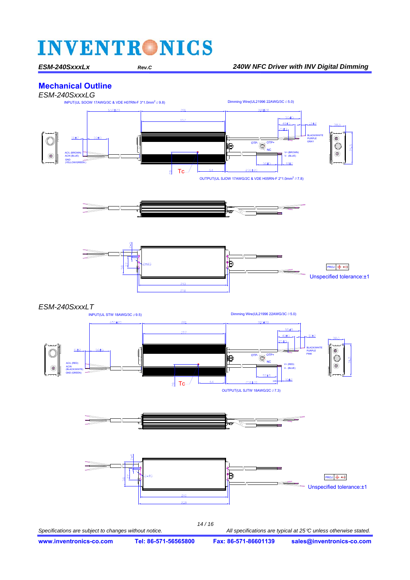### **Mechanical Outline**

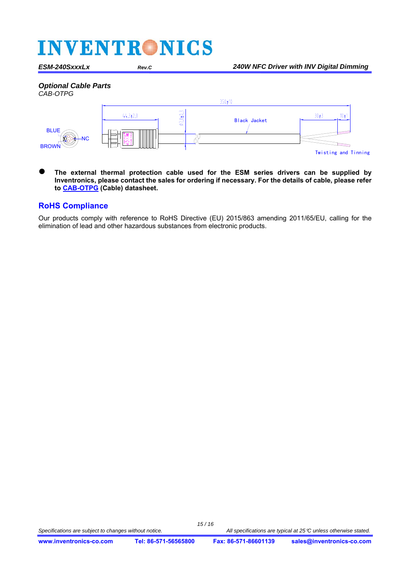#### *Optional Cable Parts*



 **The external thermal protection cable used for the ESM series drivers can be supplied by Inventronics, please contact the sales for ordering if necessary. For the details of cable, please refer to [CAB-OTPG](https://www.inventronics-co.com/product/cab-otpg/) (Cable) datasheet.**

#### **RoHS Compliance**

Our products comply with reference to RoHS Directive (EU) 2015/863 amending 2011/65/EU, calling for the elimination of lead and other hazardous substances from electronic products.